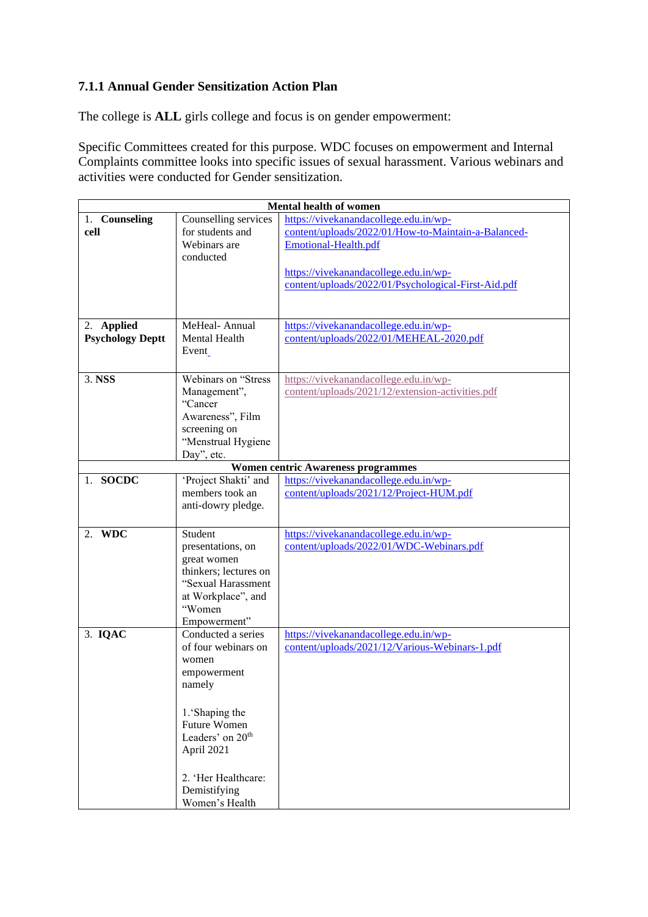## **7.1.1 Annual Gender Sensitization Action Plan**

The college is **ALL** girls college and focus is on gender empowerment:

Specific Committees created for this purpose. WDC focuses on empowerment and Internal Complaints committee looks into specific issues of sexual harassment. Various webinars and activities were conducted for Gender sensitization.

|                                                         | <b>Mental health of women</b>            |                                                                                              |  |  |  |
|---------------------------------------------------------|------------------------------------------|----------------------------------------------------------------------------------------------|--|--|--|
| 1. Counseling<br>cell                                   | Counselling services<br>for students and | https://vivekanandacollege.edu.in/wp-<br>content/uploads/2022/01/How-to-Maintain-a-Balanced- |  |  |  |
|                                                         | Webinars are                             | Emotional-Health.pdf                                                                         |  |  |  |
|                                                         | conducted                                |                                                                                              |  |  |  |
|                                                         |                                          | https://vivekanandacollege.edu.in/wp-<br>content/uploads/2022/01/Psychological-First-Aid.pdf |  |  |  |
|                                                         |                                          |                                                                                              |  |  |  |
|                                                         |                                          |                                                                                              |  |  |  |
| 2. Applied                                              | MeHeal-Annual                            | https://vivekanandacollege.edu.in/wp-                                                        |  |  |  |
| <b>Psychology Deptt</b>                                 | <b>Mental Health</b><br>Event            | content/uploads/2022/01/MEHEAL-2020.pdf                                                      |  |  |  |
|                                                         |                                          |                                                                                              |  |  |  |
| 3. NSS                                                  | Webinars on "Stress                      | https://vivekanandacollege.edu.in/wp-                                                        |  |  |  |
|                                                         | Management",                             | content/uploads/2021/12/extension-activities.pdf                                             |  |  |  |
|                                                         | "Cancer<br>Awareness", Film              |                                                                                              |  |  |  |
|                                                         | screening on                             |                                                                                              |  |  |  |
|                                                         | "Menstrual Hygiene                       |                                                                                              |  |  |  |
| Day", etc.<br><b>Women centric Awareness programmes</b> |                                          |                                                                                              |  |  |  |
| 1. SOCDC                                                | 'Project Shakti' and                     | https://vivekanandacollege.edu.in/wp-                                                        |  |  |  |
|                                                         | members took an                          | content/uploads/2021/12/Project-HUM.pdf                                                      |  |  |  |
|                                                         | anti-dowry pledge.                       |                                                                                              |  |  |  |
|                                                         |                                          |                                                                                              |  |  |  |
| 2. WDC                                                  | Student<br>presentations, on             | https://vivekanandacollege.edu.in/wp-<br>content/uploads/2022/01/WDC-Webinars.pdf            |  |  |  |
|                                                         | great women                              |                                                                                              |  |  |  |
|                                                         | thinkers; lectures on                    |                                                                                              |  |  |  |
|                                                         | "Sexual Harassment                       |                                                                                              |  |  |  |
|                                                         | at Workplace", and<br>"Women             |                                                                                              |  |  |  |
|                                                         | Empowerment"                             |                                                                                              |  |  |  |
| 3. IQAC                                                 | Conducted a series                       | https://vivekanandacollege.edu.in/wp-                                                        |  |  |  |
|                                                         | of four webinars on                      | content/uploads/2021/12/Various-Webinars-1.pdf                                               |  |  |  |
|                                                         | women<br>empowerment                     |                                                                                              |  |  |  |
|                                                         | namely                                   |                                                                                              |  |  |  |
|                                                         |                                          |                                                                                              |  |  |  |
|                                                         | 1.'Shaping the<br><b>Future Women</b>    |                                                                                              |  |  |  |
|                                                         | Leaders' on 20 <sup>th</sup>             |                                                                                              |  |  |  |
|                                                         | April 2021                               |                                                                                              |  |  |  |
|                                                         |                                          |                                                                                              |  |  |  |
|                                                         | 2. 'Her Healthcare:                      |                                                                                              |  |  |  |
|                                                         | Demistifying                             |                                                                                              |  |  |  |
|                                                         | Women's Health                           |                                                                                              |  |  |  |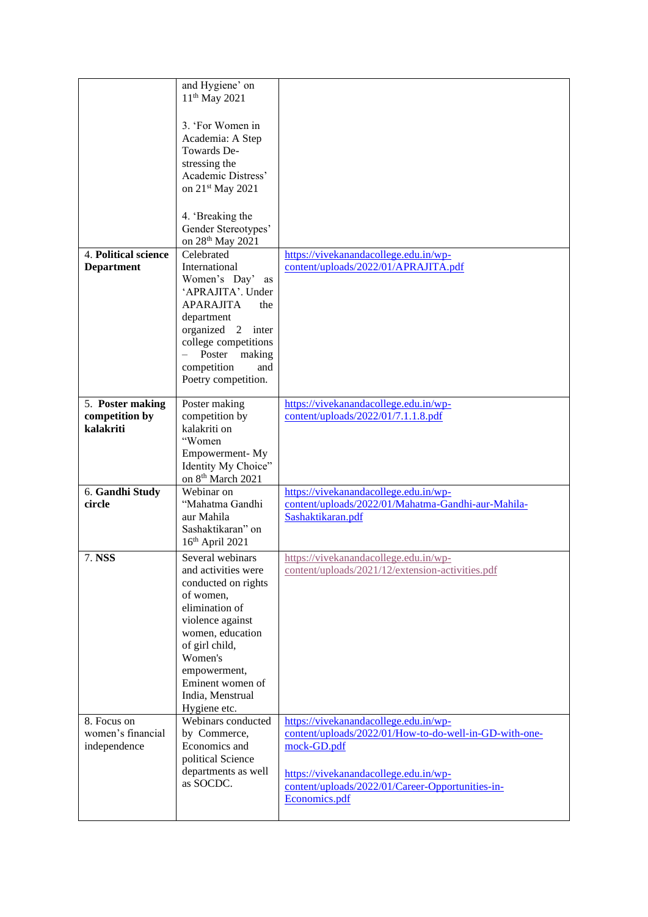|                           | and Hygiene' on               |                                                        |
|---------------------------|-------------------------------|--------------------------------------------------------|
|                           | $11th$ May 2021               |                                                        |
|                           |                               |                                                        |
|                           | 3. 'For Women in              |                                                        |
|                           | Academia: A Step              |                                                        |
|                           |                               |                                                        |
|                           | Towards De-                   |                                                        |
|                           | stressing the                 |                                                        |
|                           | Academic Distress'            |                                                        |
|                           | on 21 <sup>st</sup> May 2021  |                                                        |
|                           |                               |                                                        |
|                           | 4. 'Breaking the              |                                                        |
|                           | Gender Stereotypes'           |                                                        |
|                           |                               |                                                        |
|                           | on 28 <sup>th</sup> May 2021  |                                                        |
| 4. Political science      | Celebrated                    | https://vivekanandacollege.edu.in/wp-                  |
| <b>Department</b>         | International                 | content/uploads/2022/01/APRAJITA.pdf                   |
|                           | Women's Day' as               |                                                        |
|                           | 'APRAJITA'. Under             |                                                        |
|                           | <b>APARAJITA</b><br>the       |                                                        |
|                           | department                    |                                                        |
|                           | organized 2 inter             |                                                        |
|                           | college competitions          |                                                        |
|                           | Poster<br>making              |                                                        |
|                           | competition<br>and            |                                                        |
|                           |                               |                                                        |
|                           | Poetry competition.           |                                                        |
|                           |                               |                                                        |
| 5. Poster making          | Poster making                 | https://vivekanandacollege.edu.in/wp-                  |
| competition by            | competition by                | content/uploads/2022/01/7.1.1.8.pdf                    |
| kalakriti                 | kalakriti on                  |                                                        |
|                           | "Women                        |                                                        |
|                           |                               |                                                        |
|                           | Empowerment-My                |                                                        |
|                           | Identity My Choice"           |                                                        |
|                           | on 8 <sup>th</sup> March 2021 |                                                        |
|                           | Webinar on                    |                                                        |
| 6. Gandhi Study<br>circle | "Mahatma Gandhi               | https://vivekanandacollege.edu.in/wp-                  |
|                           |                               | content/uploads/2022/01/Mahatma-Gandhi-aur-Mahila-     |
|                           | aur Mahila                    | Sashaktikaran.pdf                                      |
|                           | Sashaktikaran" on             |                                                        |
|                           | 16th April 2021               |                                                        |
| 7. NSS                    | Several webinars              | https://vivekanandacollege.edu.in/wp-                  |
|                           | and activities were           | content/uploads/2021/12/extension-activities.pdf       |
|                           | conducted on rights           |                                                        |
|                           | of women,                     |                                                        |
|                           | elimination of                |                                                        |
|                           |                               |                                                        |
|                           | violence against              |                                                        |
|                           | women, education              |                                                        |
|                           | of girl child,                |                                                        |
|                           | Women's                       |                                                        |
|                           | empowerment,                  |                                                        |
|                           | Eminent women of              |                                                        |
|                           | India, Menstrual              |                                                        |
|                           | Hygiene etc.                  |                                                        |
| 8. Focus on               | Webinars conducted            | https://vivekanandacollege.edu.in/wp-                  |
| women's financial         | by Commerce,                  | content/uploads/2022/01/How-to-do-well-in-GD-with-one- |
| independence              | Economics and                 | mock-GD.pdf                                            |
|                           | political Science             |                                                        |
|                           | departments as well           |                                                        |
|                           | as SOCDC.                     | https://vivekanandacollege.edu.in/wp-                  |
|                           |                               | content/uploads/2022/01/Career-Opportunities-in-       |
|                           |                               | Economics.pdf                                          |